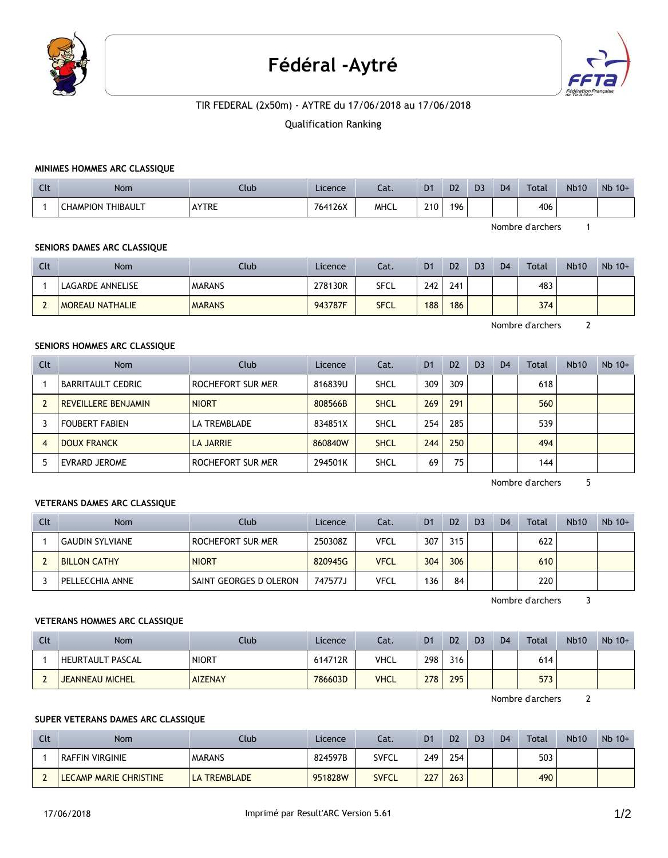

# Fédéral -Aytré



## TIR FEDERAL (2x50m) - AYTRE du 17/06/2018 au 17/06/2018

#### Qualification Ranking

## **MINIMES HOMMES ARC CLASSIQUE**

| Clt | Nom                         | Club  | Licence | Cat.        | D <sub>1</sub> | D <sub>2</sub> | D <sub>3</sub> | D <sub>4</sub> | <b>Total</b> | <b>Nb10</b> | $Nb$ 10+ |
|-----|-----------------------------|-------|---------|-------------|----------------|----------------|----------------|----------------|--------------|-------------|----------|
|     | THIBAULT<br><b>CHAMPION</b> | AYTRE | 764126X | <b>MHCL</b> | 210            | 196            |                |                | 406          |             |          |

Nombre d'archers 1

## **SENIORS DAMES ARC CLASSIQUE**

| Clt | Nom                    | Club          | Licence | Cat.        | D <sub>1</sub> | D <sub>2</sub> | D <sub>3</sub> | D <sub>4</sub> | Total | <b>Nb10</b> | $Nb$ 10+ |
|-----|------------------------|---------------|---------|-------------|----------------|----------------|----------------|----------------|-------|-------------|----------|
|     | LAGARDE ANNELISE       | <b>MARANS</b> | 278130R | SFCL        | 242            | 241            |                |                | 483   |             |          |
|     | <b>MOREAU NATHALIE</b> | <b>MARANS</b> | 943787F | <b>SFCL</b> | 188            | 186            |                |                | 374   |             |          |

Nombre d'archers 2

## **SENIORS HOMMES ARC CLASSIQUE**

| Clt            | <b>Nom</b>                 | Club              | Licence | Cat.        | D <sub>1</sub> | D <sub>2</sub> | D <sub>3</sub> | D <sub>4</sub> | Total | <b>Nb10</b> | $Nb$ 10+ |
|----------------|----------------------------|-------------------|---------|-------------|----------------|----------------|----------------|----------------|-------|-------------|----------|
|                | BARRITAULT CEDRIC          | ROCHEFORT SUR MER | 816839U | <b>SHCL</b> | 309            | 309            |                |                | 618   |             |          |
| $\overline{2}$ | <b>REVEILLERE BENJAMIN</b> | <b>NIORT</b>      | 808566B | <b>SHCL</b> | 269            | 291            |                |                | 560   |             |          |
|                | <b>FOUBERT FABIEN</b>      | LA TREMBLADE      | 834851X | <b>SHCL</b> | 254            | 285            |                |                | 539   |             |          |
| $\overline{4}$ | <b>DOUX FRANCK</b>         | LA JARRIE         | 860840W | <b>SHCL</b> | 244            | 250            |                |                | 494   |             |          |
| 5              | <b>EVRARD JEROME</b>       | ROCHEFORT SUR MER | 294501K | <b>SHCL</b> | 69             | 75             |                |                | 144   |             |          |

Nombre d'archers 5

#### **VETERANS DAMES ARC CLASSIQUE**

| Clt | Nom                 | Club                   | Licence | Cat. | D <sub>1</sub> | D <sub>2</sub> | D <sub>3</sub> | D <sub>4</sub> | Total | <b>Nb10</b> | $Nb$ 10+ |
|-----|---------------------|------------------------|---------|------|----------------|----------------|----------------|----------------|-------|-------------|----------|
|     | ' GAUDIN SYLVIANE   | ROCHEFORT SUR MER      | 250308Z | VFCL | 307            | 315            |                |                | 622   |             |          |
|     | <b>BILLON CATHY</b> | <b>NIORT</b>           | 820945G | VFCL | 304            | 306            |                |                | 610   |             |          |
|     | PELLECCHIA ANNE     | SAINT GEORGES D OLERON | 747577J | VFCL | 136            | 84             |                |                | 220   |             |          |

Nombre d'archers 3

#### **VETERANS HOMMES ARC CLASSIQUE**

| Clt | Nom                    | Club           | Licence | Cat.        | D <sub>1</sub> | D <sub>2</sub> | D <sub>3</sub> | D <sub>4</sub> | Total | <b>Nb10</b> | $Nb$ 10+ |
|-----|------------------------|----------------|---------|-------------|----------------|----------------|----------------|----------------|-------|-------------|----------|
|     | HEURTAULT PASCAL       | <b>NIORT</b>   | 614712R | <b>VHCL</b> | 298            | 316            |                |                | 614   |             |          |
|     | <b>JEANNEAU MICHEL</b> | <b>AIZENAY</b> | 786603D | <b>VHCL</b> | 278            | 295            |                |                | 573   |             |          |

Nombre d'archers 2

## **SUPER VETERANS DAMES ARC CLASSIQUE**

| Clt | Nom                    | Club                | Licence | Cat.         | D <sub>1</sub> | D <sub>2</sub> | D <sub>3</sub> | D <sub>4</sub> | <b>Total</b> | <b>Nb10</b> | $Nb$ 10+ |
|-----|------------------------|---------------------|---------|--------------|----------------|----------------|----------------|----------------|--------------|-------------|----------|
|     | RAFFIN VIRGINIE        | <b>MARANS</b>       | 824597B | <b>SVFCL</b> | 249            | 254            |                |                | 503          |             |          |
|     | LECAMP MARIE CHRISTINE | <b>LA TREMBLADE</b> | 951828W | <b>SVFCL</b> | 227            | 263            |                |                | 490          |             |          |